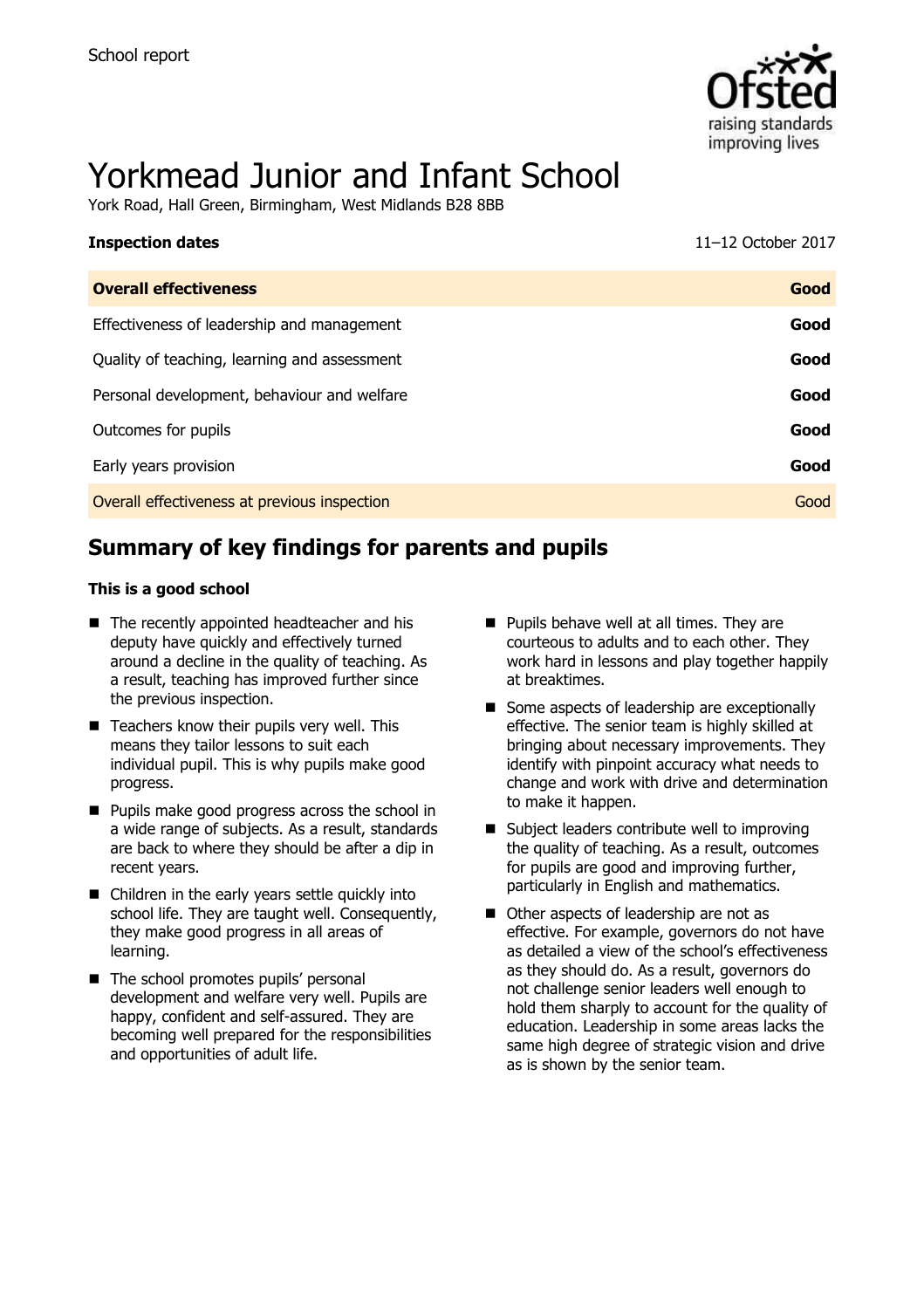

# Yorkmead Junior and Infant School

York Road, Hall Green, Birmingham, West Midlands B28 8BB

| <b>Inspection dates</b>                      | 11-12 October 2017 |
|----------------------------------------------|--------------------|
| <b>Overall effectiveness</b>                 | Good               |
| Effectiveness of leadership and management   | Good               |
| Quality of teaching, learning and assessment | Good               |
| Personal development, behaviour and welfare  | Good               |
| Outcomes for pupils                          | Good               |
| Early years provision                        | Good               |
| Overall effectiveness at previous inspection | Good               |

# **Summary of key findings for parents and pupils**

#### **This is a good school**

- The recently appointed headteacher and his deputy have quickly and effectively turned around a decline in the quality of teaching. As a result, teaching has improved further since the previous inspection.
- $\blacksquare$  Teachers know their pupils very well. This means they tailor lessons to suit each individual pupil. This is why pupils make good progress.
- **Pupils make good progress across the school in** a wide range of subjects. As a result, standards are back to where they should be after a dip in recent years.
- Children in the early years settle quickly into school life. They are taught well. Consequently, they make good progress in all areas of learning.
- The school promotes pupils' personal development and welfare very well. Pupils are happy, confident and self-assured. They are becoming well prepared for the responsibilities and opportunities of adult life.
- **Pupils behave well at all times. They are** courteous to adults and to each other. They work hard in lessons and play together happily at breaktimes.
- Some aspects of leadership are exceptionally effective. The senior team is highly skilled at bringing about necessary improvements. They identify with pinpoint accuracy what needs to change and work with drive and determination to make it happen.
- Subject leaders contribute well to improving the quality of teaching. As a result, outcomes for pupils are good and improving further, particularly in English and mathematics.
- Other aspects of leadership are not as effective. For example, governors do not have as detailed a view of the school's effectiveness as they should do. As a result, governors do not challenge senior leaders well enough to hold them sharply to account for the quality of education. Leadership in some areas lacks the same high degree of strategic vision and drive as is shown by the senior team.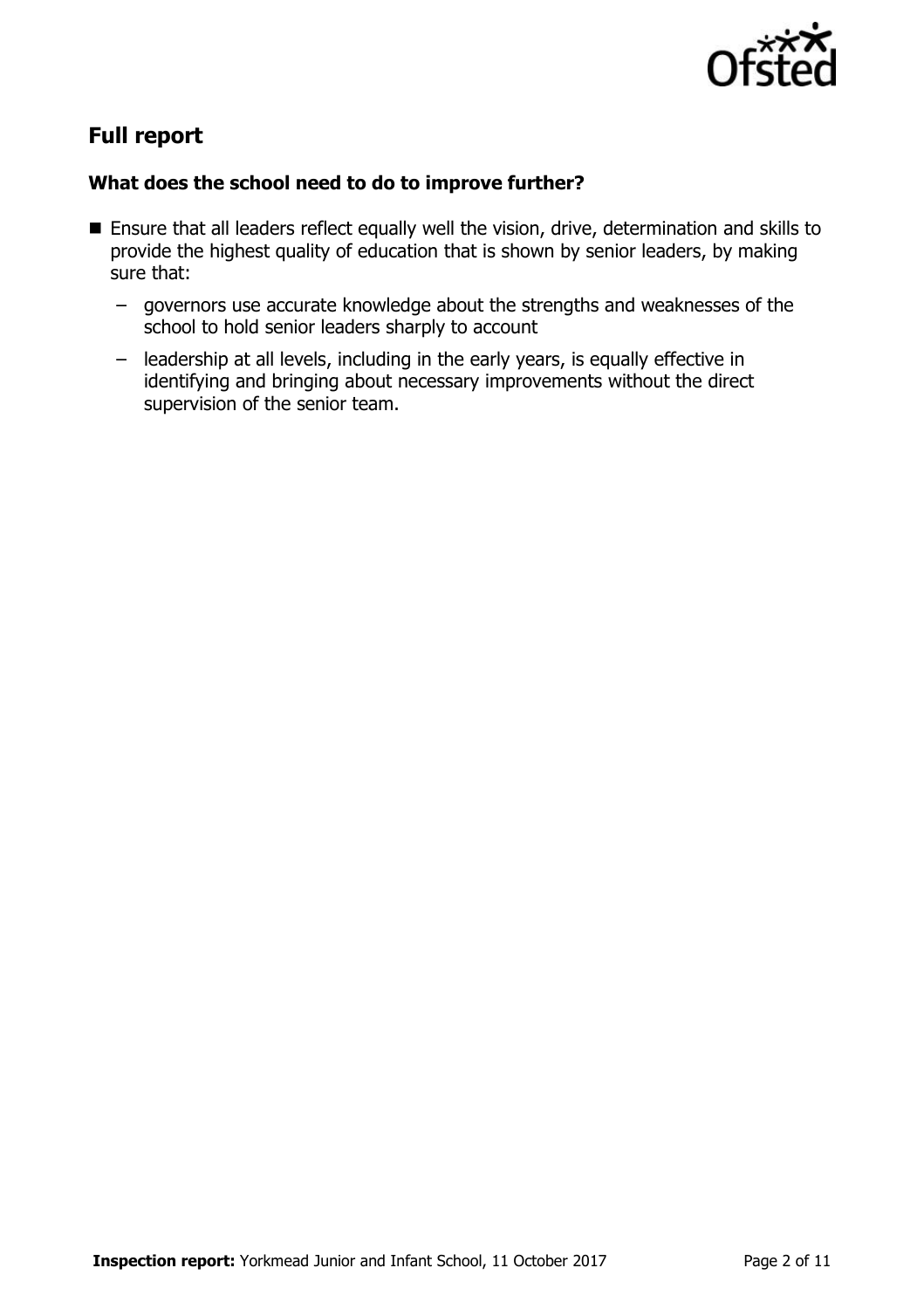

# **Full report**

#### **What does the school need to do to improve further?**

- Ensure that all leaders reflect equally well the vision, drive, determination and skills to provide the highest quality of education that is shown by senior leaders, by making sure that:
	- governors use accurate knowledge about the strengths and weaknesses of the school to hold senior leaders sharply to account
	- leadership at all levels, including in the early years, is equally effective in identifying and bringing about necessary improvements without the direct supervision of the senior team.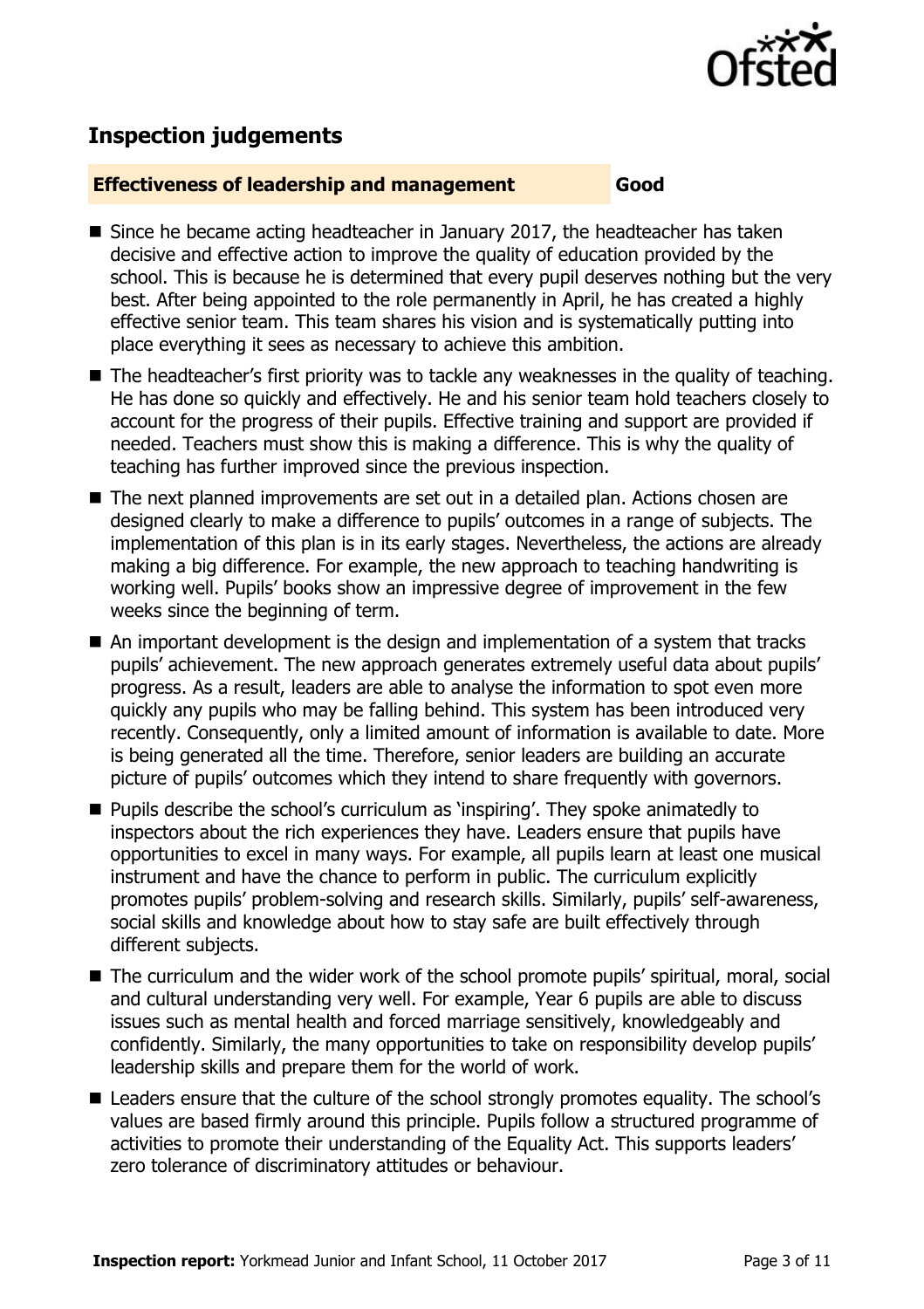

# **Inspection judgements**

#### **Effectiveness of leadership and management Good**

- Since he became acting headteacher in January 2017, the headteacher has taken decisive and effective action to improve the quality of education provided by the school. This is because he is determined that every pupil deserves nothing but the very best. After being appointed to the role permanently in April, he has created a highly effective senior team. This team shares his vision and is systematically putting into place everything it sees as necessary to achieve this ambition.
- The headteacher's first priority was to tackle any weaknesses in the quality of teaching. He has done so quickly and effectively. He and his senior team hold teachers closely to account for the progress of their pupils. Effective training and support are provided if needed. Teachers must show this is making a difference. This is why the quality of teaching has further improved since the previous inspection.
- The next planned improvements are set out in a detailed plan. Actions chosen are designed clearly to make a difference to pupils' outcomes in a range of subjects. The implementation of this plan is in its early stages. Nevertheless, the actions are already making a big difference. For example, the new approach to teaching handwriting is working well. Pupils' books show an impressive degree of improvement in the few weeks since the beginning of term.
- An important development is the design and implementation of a system that tracks pupils' achievement. The new approach generates extremely useful data about pupils' progress. As a result, leaders are able to analyse the information to spot even more quickly any pupils who may be falling behind. This system has been introduced very recently. Consequently, only a limited amount of information is available to date. More is being generated all the time. Therefore, senior leaders are building an accurate picture of pupils' outcomes which they intend to share frequently with governors.
- **Pupils describe the school's curriculum as 'inspiring'. They spoke animatedly to** inspectors about the rich experiences they have. Leaders ensure that pupils have opportunities to excel in many ways. For example, all pupils learn at least one musical instrument and have the chance to perform in public. The curriculum explicitly promotes pupils' problem-solving and research skills. Similarly, pupils' self-awareness, social skills and knowledge about how to stay safe are built effectively through different subjects.
- The curriculum and the wider work of the school promote pupils' spiritual, moral, social and cultural understanding very well. For example, Year 6 pupils are able to discuss issues such as mental health and forced marriage sensitively, knowledgeably and confidently. Similarly, the many opportunities to take on responsibility develop pupils' leadership skills and prepare them for the world of work.
- Leaders ensure that the culture of the school strongly promotes equality. The school's values are based firmly around this principle. Pupils follow a structured programme of activities to promote their understanding of the Equality Act. This supports leaders' zero tolerance of discriminatory attitudes or behaviour.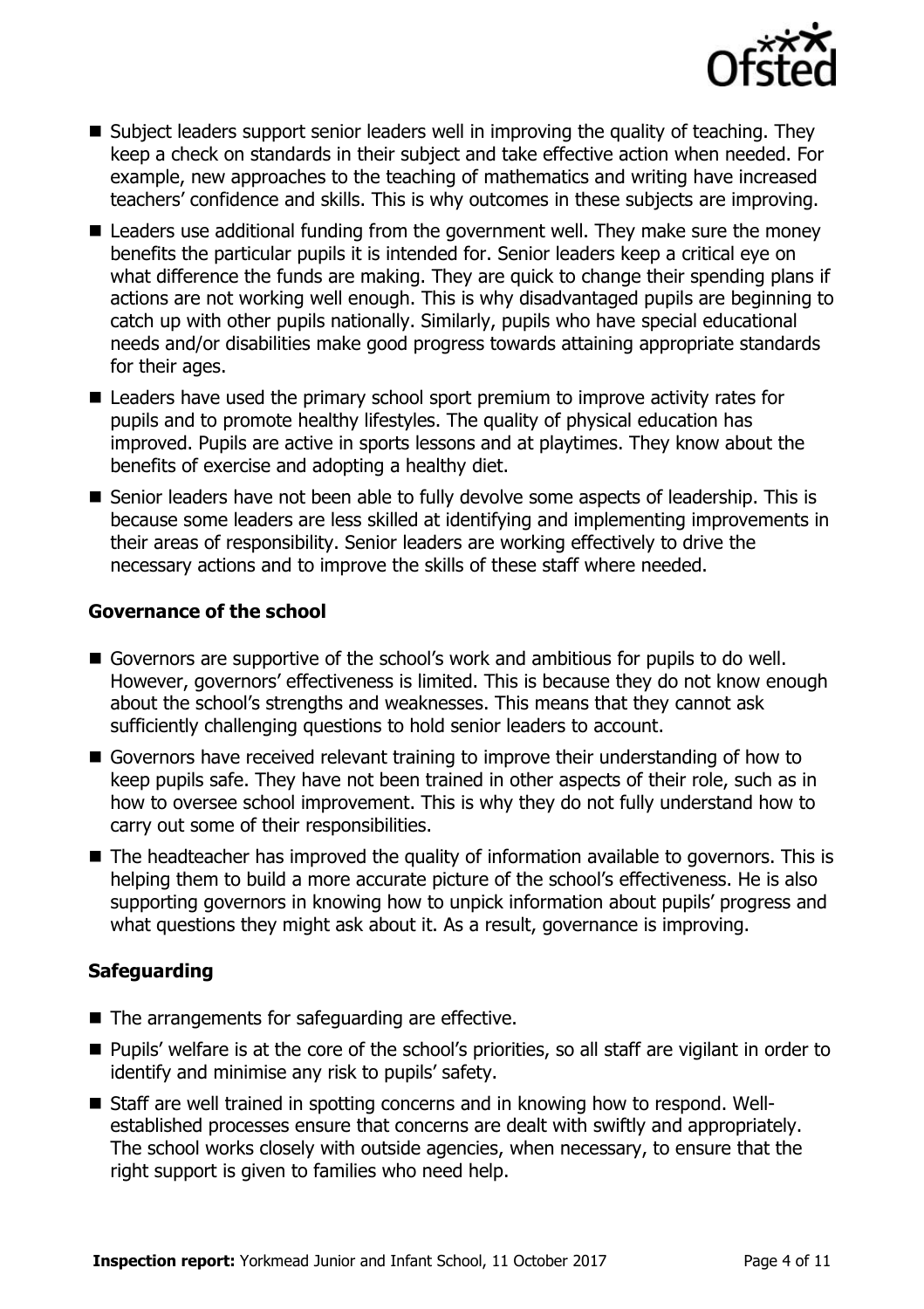

- Subject leaders support senior leaders well in improving the quality of teaching. They keep a check on standards in their subject and take effective action when needed. For example, new approaches to the teaching of mathematics and writing have increased teachers' confidence and skills. This is why outcomes in these subjects are improving.
- Leaders use additional funding from the government well. They make sure the money benefits the particular pupils it is intended for. Senior leaders keep a critical eye on what difference the funds are making. They are quick to change their spending plans if actions are not working well enough. This is why disadvantaged pupils are beginning to catch up with other pupils nationally. Similarly, pupils who have special educational needs and/or disabilities make good progress towards attaining appropriate standards for their ages.
- Leaders have used the primary school sport premium to improve activity rates for pupils and to promote healthy lifestyles. The quality of physical education has improved. Pupils are active in sports lessons and at playtimes. They know about the benefits of exercise and adopting a healthy diet.
- Senior leaders have not been able to fully devolve some aspects of leadership. This is because some leaders are less skilled at identifying and implementing improvements in their areas of responsibility. Senior leaders are working effectively to drive the necessary actions and to improve the skills of these staff where needed.

#### **Governance of the school**

- Governors are supportive of the school's work and ambitious for pupils to do well. However, governors' effectiveness is limited. This is because they do not know enough about the school's strengths and weaknesses. This means that they cannot ask sufficiently challenging questions to hold senior leaders to account.
- Governors have received relevant training to improve their understanding of how to keep pupils safe. They have not been trained in other aspects of their role, such as in how to oversee school improvement. This is why they do not fully understand how to carry out some of their responsibilities.
- The headteacher has improved the quality of information available to governors. This is helping them to build a more accurate picture of the school's effectiveness. He is also supporting governors in knowing how to unpick information about pupils' progress and what questions they might ask about it. As a result, governance is improving.

### **Safeguarding**

- The arrangements for safeguarding are effective.
- Pupils' welfare is at the core of the school's priorities, so all staff are vigilant in order to identify and minimise any risk to pupils' safety.
- Staff are well trained in spotting concerns and in knowing how to respond. Wellestablished processes ensure that concerns are dealt with swiftly and appropriately. The school works closely with outside agencies, when necessary, to ensure that the right support is given to families who need help.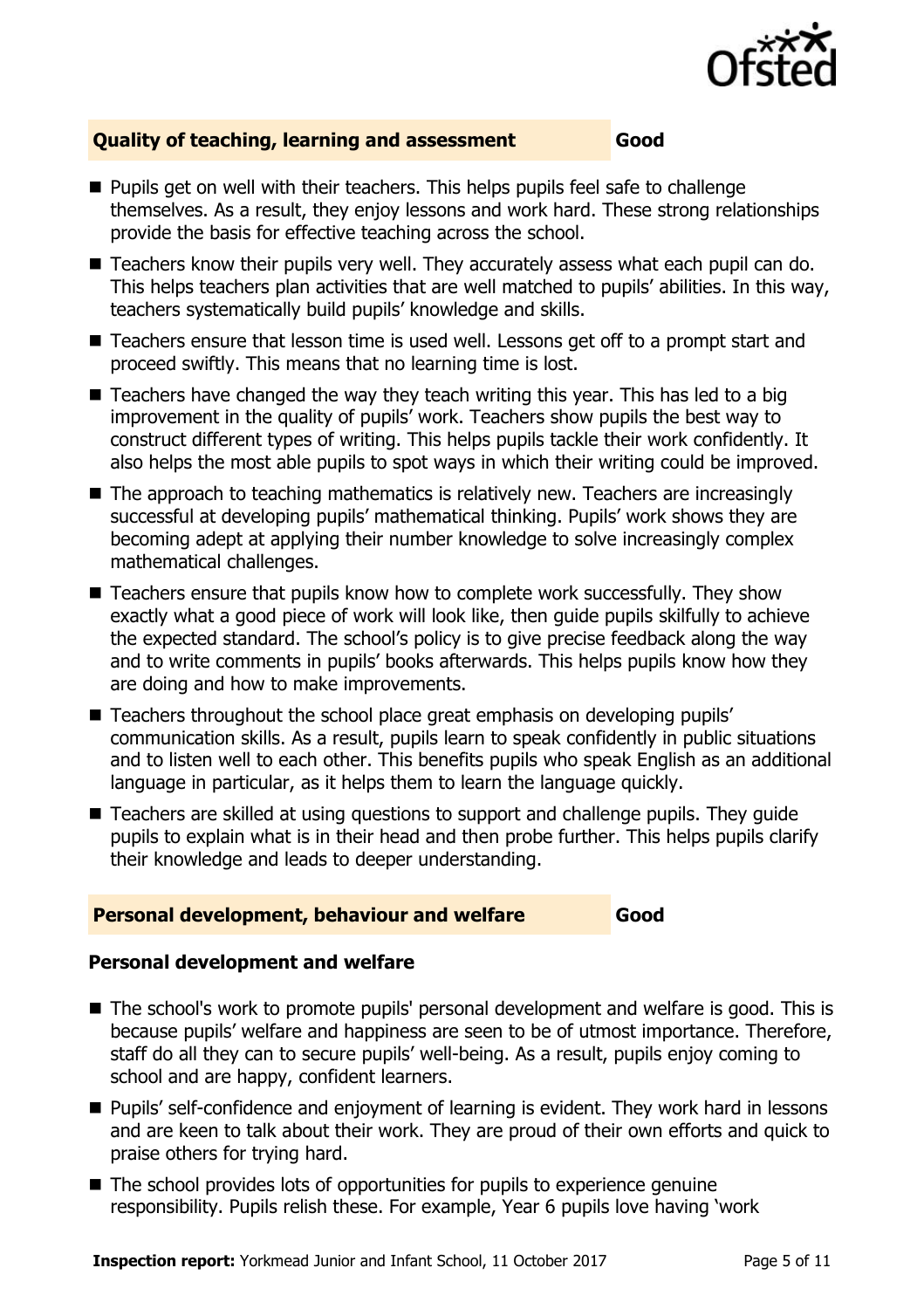

### **Quality of teaching, learning and assessment Good**

- **Pupils get on well with their teachers. This helps pupils feel safe to challenge** themselves. As a result, they enjoy lessons and work hard. These strong relationships provide the basis for effective teaching across the school.
- Teachers know their pupils very well. They accurately assess what each pupil can do. This helps teachers plan activities that are well matched to pupils' abilities. In this way, teachers systematically build pupils' knowledge and skills.
- Teachers ensure that lesson time is used well. Lessons get off to a prompt start and proceed swiftly. This means that no learning time is lost.
- $\blacksquare$  Teachers have changed the way they teach writing this year. This has led to a big improvement in the quality of pupils' work. Teachers show pupils the best way to construct different types of writing. This helps pupils tackle their work confidently. It also helps the most able pupils to spot ways in which their writing could be improved.
- The approach to teaching mathematics is relatively new. Teachers are increasingly successful at developing pupils' mathematical thinking. Pupils' work shows they are becoming adept at applying their number knowledge to solve increasingly complex mathematical challenges.
- Teachers ensure that pupils know how to complete work successfully. They show exactly what a good piece of work will look like, then guide pupils skilfully to achieve the expected standard. The school's policy is to give precise feedback along the way and to write comments in pupils' books afterwards. This helps pupils know how they are doing and how to make improvements.
- Teachers throughout the school place great emphasis on developing pupils' communication skills. As a result, pupils learn to speak confidently in public situations and to listen well to each other. This benefits pupils who speak English as an additional language in particular, as it helps them to learn the language quickly.
- Teachers are skilled at using questions to support and challenge pupils. They guide pupils to explain what is in their head and then probe further. This helps pupils clarify their knowledge and leads to deeper understanding.

#### **Personal development, behaviour and welfare Good**

#### **Personal development and welfare**

- The school's work to promote pupils' personal development and welfare is good. This is because pupils' welfare and happiness are seen to be of utmost importance. Therefore, staff do all they can to secure pupils' well-being. As a result, pupils enjoy coming to school and are happy, confident learners.
- **Pupils' self-confidence and enjoyment of learning is evident. They work hard in lessons** and are keen to talk about their work. They are proud of their own efforts and quick to praise others for trying hard.
- The school provides lots of opportunities for pupils to experience genuine responsibility. Pupils relish these. For example, Year 6 pupils love having 'work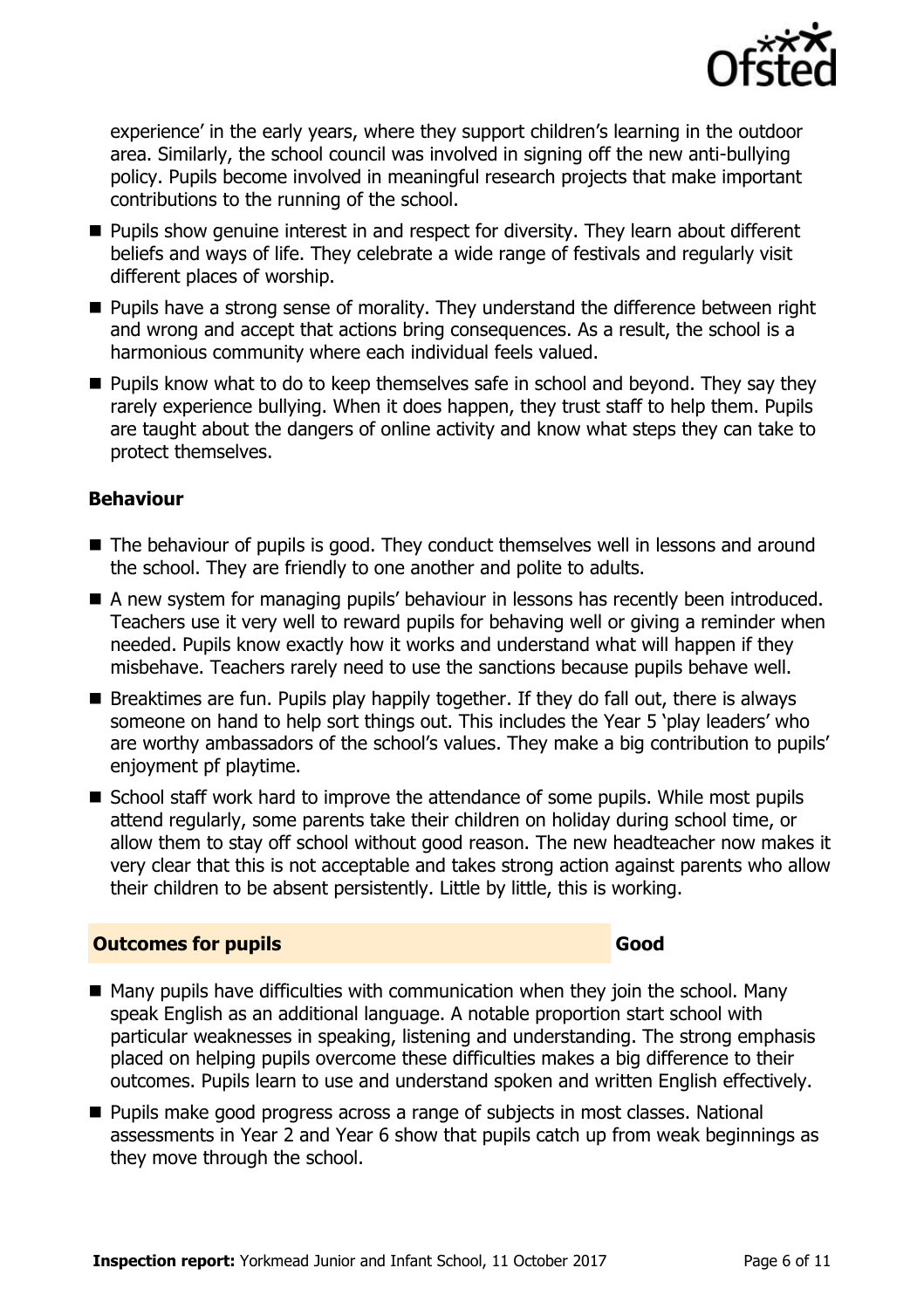

experience' in the early years, where they support children's learning in the outdoor area. Similarly, the school council was involved in signing off the new anti-bullying policy. Pupils become involved in meaningful research projects that make important contributions to the running of the school.

- **Pupils show genuine interest in and respect for diversity. They learn about different** beliefs and ways of life. They celebrate a wide range of festivals and regularly visit different places of worship.
- **Pupils have a strong sense of morality. They understand the difference between right** and wrong and accept that actions bring consequences. As a result, the school is a harmonious community where each individual feels valued.
- **Pupils know what to do to keep themselves safe in school and beyond. They say they** rarely experience bullying. When it does happen, they trust staff to help them. Pupils are taught about the dangers of online activity and know what steps they can take to protect themselves.

### **Behaviour**

- The behaviour of pupils is good. They conduct themselves well in lessons and around the school. They are friendly to one another and polite to adults.
- A new system for managing pupils' behaviour in lessons has recently been introduced. Teachers use it very well to reward pupils for behaving well or giving a reminder when needed. Pupils know exactly how it works and understand what will happen if they misbehave. Teachers rarely need to use the sanctions because pupils behave well.
- $\blacksquare$  Breaktimes are fun. Pupils play happily together. If they do fall out, there is always someone on hand to help sort things out. This includes the Year 5 'play leaders' who are worthy ambassadors of the school's values. They make a big contribution to pupils' enjoyment pf playtime.
- School staff work hard to improve the attendance of some pupils. While most pupils attend regularly, some parents take their children on holiday during school time, or allow them to stay off school without good reason. The new headteacher now makes it very clear that this is not acceptable and takes strong action against parents who allow their children to be absent persistently. Little by little, this is working.

#### **Outcomes for pupils Good Good**

- $\blacksquare$  Many pupils have difficulties with communication when they join the school. Many speak English as an additional language. A notable proportion start school with particular weaknesses in speaking, listening and understanding. The strong emphasis placed on helping pupils overcome these difficulties makes a big difference to their outcomes. Pupils learn to use and understand spoken and written English effectively.
- Pupils make good progress across a range of subjects in most classes. National assessments in Year 2 and Year 6 show that pupils catch up from weak beginnings as they move through the school.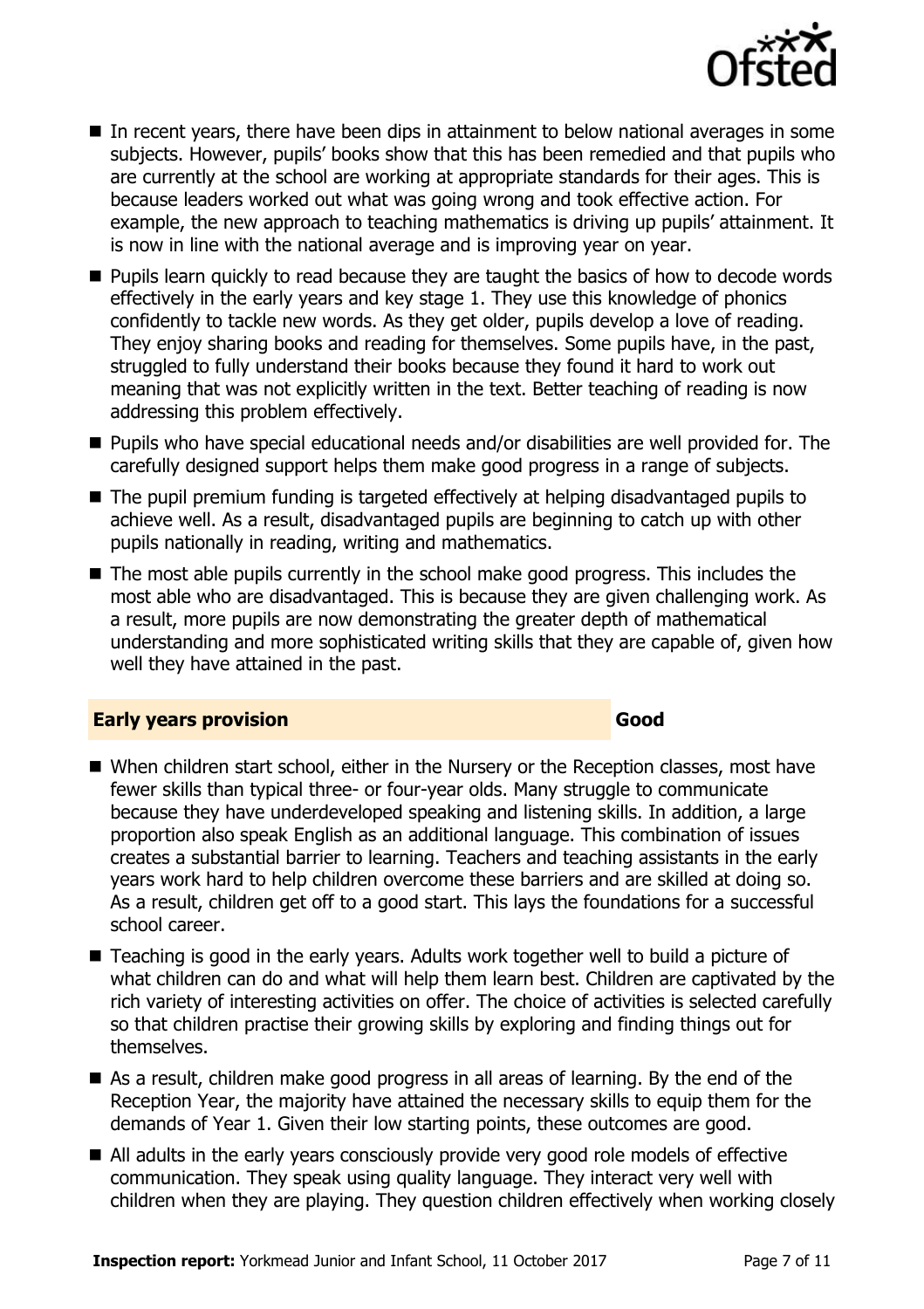

- In recent years, there have been dips in attainment to below national averages in some subjects. However, pupils' books show that this has been remedied and that pupils who are currently at the school are working at appropriate standards for their ages. This is because leaders worked out what was going wrong and took effective action. For example, the new approach to teaching mathematics is driving up pupils' attainment. It is now in line with the national average and is improving year on year.
- **Pupils learn quickly to read because they are taught the basics of how to decode words** effectively in the early years and key stage 1. They use this knowledge of phonics confidently to tackle new words. As they get older, pupils develop a love of reading. They enjoy sharing books and reading for themselves. Some pupils have, in the past, struggled to fully understand their books because they found it hard to work out meaning that was not explicitly written in the text. Better teaching of reading is now addressing this problem effectively.
- Pupils who have special educational needs and/or disabilities are well provided for. The carefully designed support helps them make good progress in a range of subjects.
- The pupil premium funding is targeted effectively at helping disadvantaged pupils to achieve well. As a result, disadvantaged pupils are beginning to catch up with other pupils nationally in reading, writing and mathematics.
- The most able pupils currently in the school make good progress. This includes the most able who are disadvantaged. This is because they are given challenging work. As a result, more pupils are now demonstrating the greater depth of mathematical understanding and more sophisticated writing skills that they are capable of, given how well they have attained in the past.

### **Early years provision Good Good**

- When children start school, either in the Nursery or the Reception classes, most have fewer skills than typical three- or four-year olds. Many struggle to communicate because they have underdeveloped speaking and listening skills. In addition, a large proportion also speak English as an additional language. This combination of issues creates a substantial barrier to learning. Teachers and teaching assistants in the early years work hard to help children overcome these barriers and are skilled at doing so. As a result, children get off to a good start. This lays the foundations for a successful school career.
- Teaching is good in the early years. Adults work together well to build a picture of what children can do and what will help them learn best. Children are captivated by the rich variety of interesting activities on offer. The choice of activities is selected carefully so that children practise their growing skills by exploring and finding things out for themselves.
- As a result, children make good progress in all areas of learning. By the end of the Reception Year, the majority have attained the necessary skills to equip them for the demands of Year 1. Given their low starting points, these outcomes are good.
- All adults in the early years consciously provide very good role models of effective communication. They speak using quality language. They interact very well with children when they are playing. They question children effectively when working closely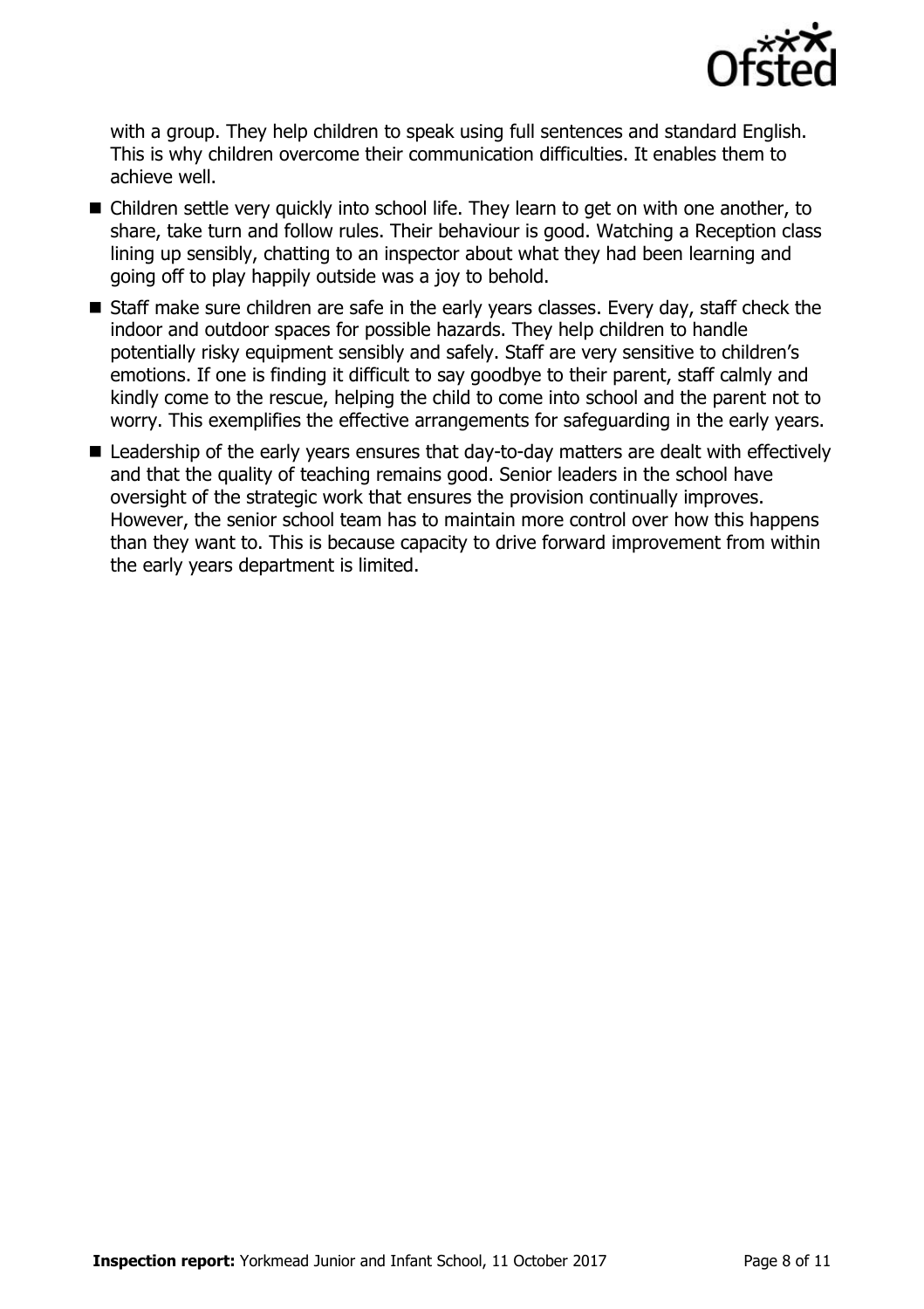

with a group. They help children to speak using full sentences and standard English. This is why children overcome their communication difficulties. It enables them to achieve well.

- Children settle very quickly into school life. They learn to get on with one another, to share, take turn and follow rules. Their behaviour is good. Watching a Reception class lining up sensibly, chatting to an inspector about what they had been learning and going off to play happily outside was a joy to behold.
- Staff make sure children are safe in the early years classes. Every day, staff check the indoor and outdoor spaces for possible hazards. They help children to handle potentially risky equipment sensibly and safely. Staff are very sensitive to children's emotions. If one is finding it difficult to say goodbye to their parent, staff calmly and kindly come to the rescue, helping the child to come into school and the parent not to worry. This exemplifies the effective arrangements for safeguarding in the early years.
- Leadership of the early years ensures that day-to-day matters are dealt with effectively and that the quality of teaching remains good. Senior leaders in the school have oversight of the strategic work that ensures the provision continually improves. However, the senior school team has to maintain more control over how this happens than they want to. This is because capacity to drive forward improvement from within the early years department is limited.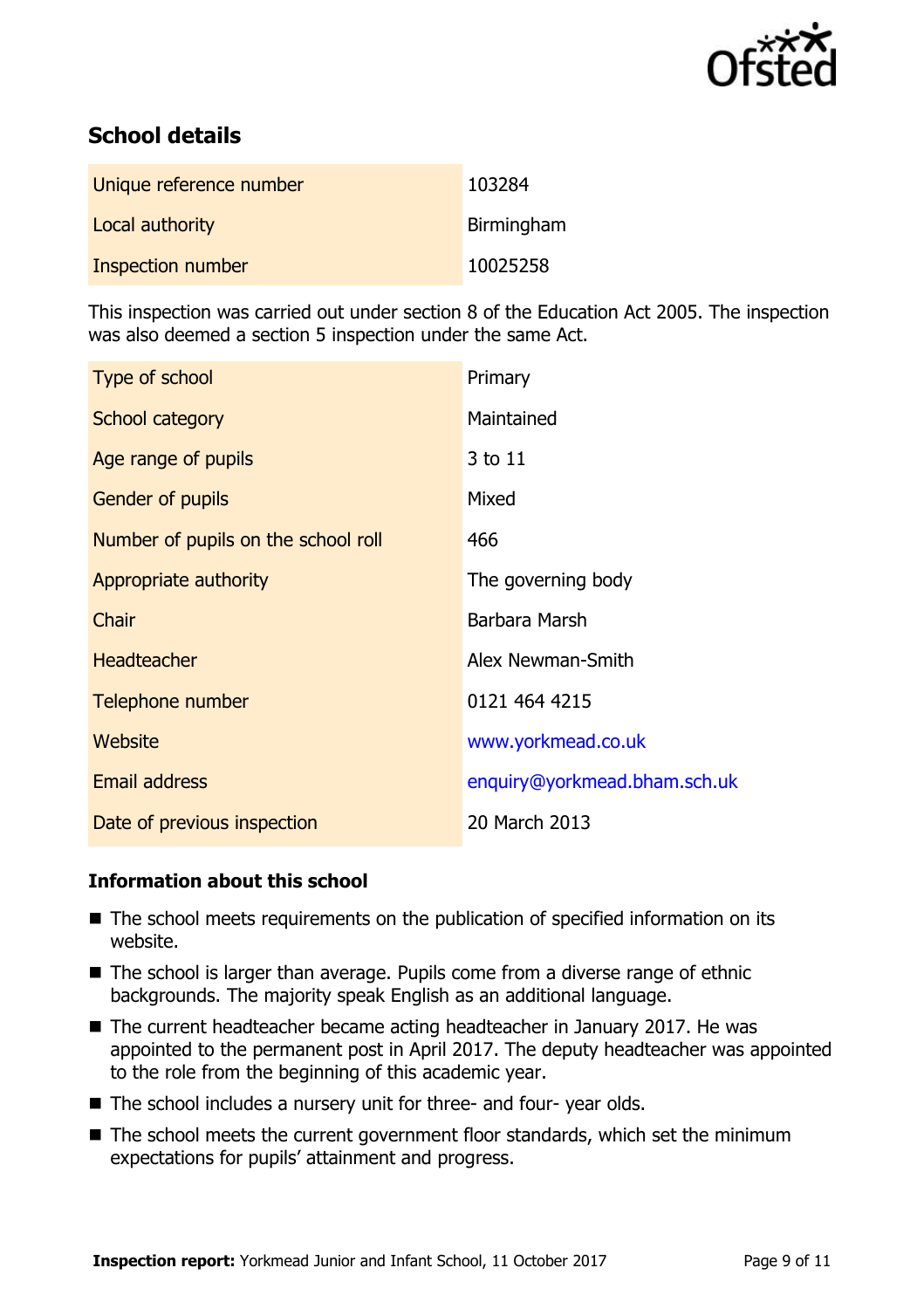

# **School details**

| Unique reference number | 103284     |
|-------------------------|------------|
| Local authority         | Birmingham |
| Inspection number       | 10025258   |

This inspection was carried out under section 8 of the Education Act 2005. The inspection was also deemed a section 5 inspection under the same Act.

| Type of school                      | Primary                      |
|-------------------------------------|------------------------------|
| School category                     | Maintained                   |
| Age range of pupils                 | 3 to 11                      |
| <b>Gender of pupils</b>             | Mixed                        |
| Number of pupils on the school roll | 466                          |
| Appropriate authority               | The governing body           |
| Chair                               | Barbara Marsh                |
| <b>Headteacher</b>                  | Alex Newman-Smith            |
| Telephone number                    | 0121 464 4215                |
| Website                             | www.yorkmead.co.uk           |
| Email address                       | enquiry@yorkmead.bham.sch.uk |
| Date of previous inspection         | 20 March 2013                |

#### **Information about this school**

- The school meets requirements on the publication of specified information on its website.
- The school is larger than average. Pupils come from a diverse range of ethnic backgrounds. The majority speak English as an additional language.
- The current headteacher became acting headteacher in January 2017. He was appointed to the permanent post in April 2017. The deputy headteacher was appointed to the role from the beginning of this academic year.
- The school includes a nursery unit for three- and four- year olds.
- The school meets the current government floor standards, which set the minimum expectations for pupils' attainment and progress.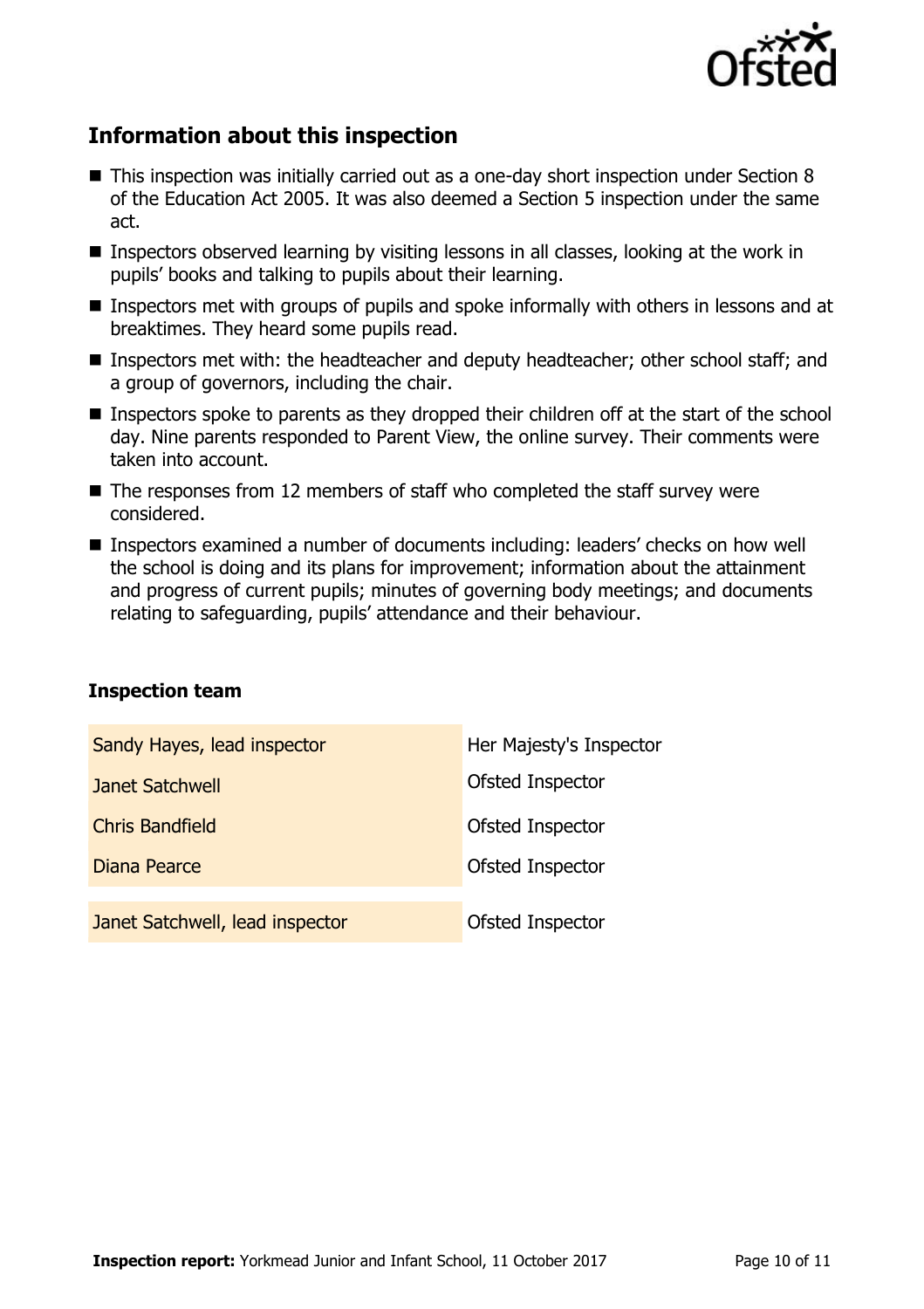

# **Information about this inspection**

- This inspection was initially carried out as a one-day short inspection under Section 8 of the Education Act 2005. It was also deemed a Section 5 inspection under the same act.
- Inspectors observed learning by visiting lessons in all classes, looking at the work in pupils' books and talking to pupils about their learning.
- Inspectors met with groups of pupils and spoke informally with others in lessons and at breaktimes. They heard some pupils read.
- Inspectors met with: the headteacher and deputy headteacher; other school staff; and a group of governors, including the chair.
- Inspectors spoke to parents as they dropped their children off at the start of the school day. Nine parents responded to Parent View, the online survey. Their comments were taken into account.
- $\blacksquare$  The responses from 12 members of staff who completed the staff survey were considered.
- Inspectors examined a number of documents including: leaders' checks on how well the school is doing and its plans for improvement; information about the attainment and progress of current pupils; minutes of governing body meetings; and documents relating to safeguarding, pupils' attendance and their behaviour.

#### **Inspection team**

| Sandy Hayes, lead inspector     | Her Majesty's Inspector |
|---------------------------------|-------------------------|
| Janet Satchwell                 | Ofsted Inspector        |
| <b>Chris Bandfield</b>          | Ofsted Inspector        |
| Diana Pearce                    | Ofsted Inspector        |
|                                 |                         |
| Janet Satchwell, lead inspector | Ofsted Inspector        |